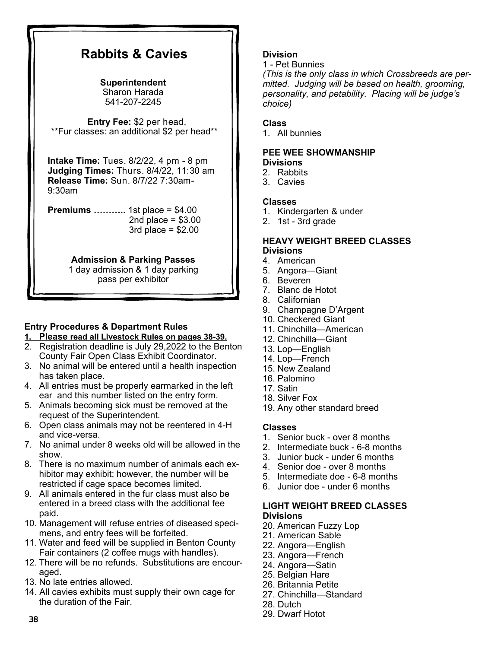# **Rabbits & Cavies**

#### **Superintendent**  Sharon Harada 541-207-2245

 **Entry Fee:** \$2 per head, \*\*Fur classes: an additional \$2 per head\*\*

**Intake Time:** Tues. 8/2/22, 4 pm - 8 pm **Judging Times:** Thurs. 8/4/22, 11:30 am **Release Time:** Sun. 8/7/22 7:30am-9:30am

**Premiums ………..** 1st place = \$4.00 2nd place  $= $3.00$  $3rd$  place =  $$2.00$ 

# **Admission & Parking Passes**

1 day admission & 1 day parking pass per exhibitor

# **Entry Procedures & Department Rules**

- **1. Please read all Livestock Rules on pages 38-39.**
- 2. Registration deadline is July 29,2022 to the Benton County Fair Open Class Exhibit Coordinator.
- 3. No animal will be entered until a health inspection has taken place.
- 4. All entries must be properly earmarked in the left ear and this number listed on the entry form.
- 5. Animals becoming sick must be removed at the request of the Superintendent.
- 6. Open class animals may not be reentered in 4-H and vice-versa.
- 7. No animal under 8 weeks old will be allowed in the show.
- 8. There is no maximum number of animals each exhibitor may exhibit; however, the number will be restricted if cage space becomes limited.
- 9. All animals entered in the fur class must also be entered in a breed class with the additional fee paid.
- 10. Management will refuse entries of diseased specimens, and entry fees will be forfeited.
- 11. Water and feed will be supplied in Benton County Fair containers (2 coffee mugs with handles).
- 12. There will be no refunds. Substitutions are encouraged.
- 13. No late entries allowed.
- 14. All cavies exhibits must supply their own cage for the duration of the Fair.

# **Division**

1 - Pet Bunnies

*(This is the only class in which Crossbreeds are permitted. Judging will be based on health, grooming, personality, and petability. Placing will be judge's choice)*

# **Class**

1. All bunnies

#### **PEE WEE SHOWMANSHIP Divisions**

2. Rabbits

3. Cavies

## **Classes**

- 1. Kindergarten & under
- 2. 1st 3rd grade

### **HEAVY WEIGHT BREED CLASSES Divisions**

- 4. American
- 5. Angora—Giant
- 6. Beveren
- 7. Blanc de Hotot
- 8. Californian
- 9. Champagne D'Argent
- 10. Checkered Giant
- 11. Chinchilla—American
- 12. Chinchilla—Giant
- 13. Lop—English
- 14. Lop—French
- 15. New Zealand
- 16. Palomino
- 17. Satin
- 18. Silver Fox
- 19. Any other standard breed

## **Classes**

- 1. Senior buck over 8 months
- 2. Intermediate buck 6-8 months
- 3. Junior buck under 6 months
- 4. Senior doe over 8 months
- 5. Intermediate doe 6-8 months
- 6. Junior doe under 6 months

## **LIGHT WEIGHT BREED CLASSES Divisions**

- 20. American Fuzzy Lop
- 21. American Sable
- 22. Angora—English
- 23. Angora—French
- 24. Angora—Satin
- 25. Belgian Hare
- 26. Britannia Petite
- 27. Chinchilla—Standard
- 28. Dutch
- 29. Dwarf Hotot